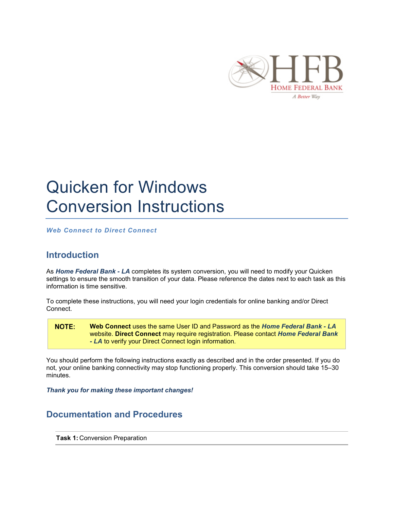

## Quicken for Windows Conversion Instructions

*Web Connect to Direct Connect*

## **Introduction**

As *Home Federal Bank - LA* completes its system conversion, you will need to modify your Quicken settings to ensure the smooth transition of your data. Please reference the dates next to each task as this information is time sensitive.

To complete these instructions, you will need your login credentials for online banking and/or Direct Connect.

NOTE: **Web Connect** uses the same User ID and Password as the *Home Federal Bank - LA* website. **Direct Connect** may require registration. Please contact *Home Federal Bank - LA* to verify your Direct Connect login information.

You should perform the following instructions exactly as described and in the order presented. If you do not, your online banking connectivity may stop functioning properly. This conversion should take 15–30 minutes.

*Thank you for making these important changes!*

## **Documentation and Procedures**

**Task 1:** Conversion Preparation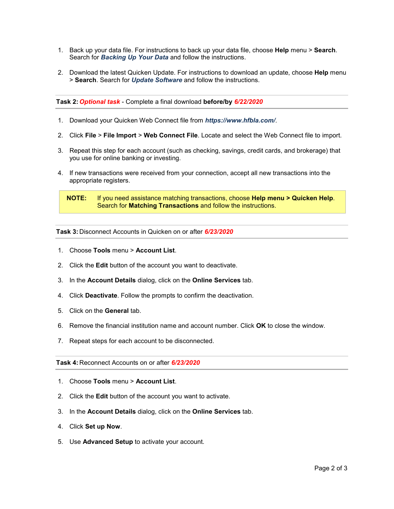- 1. Back up your data file. For instructions to back up your data file, choose **Help** menu > **Search**. Search for *Backing Up Your Data* and follow the instructions.
- 2. Download the latest Quicken Update. For instructions to download an update, choose **Help** menu > **Search**. Search for *Update Software* and follow the instructions.

**Task 2:** *Optional task* - Complete a final download **before/by** *6/22/2020*

- 1. Download your Quicken Web Connect file from *https://www.hfbla.com/*.
- 2. Click **File** > **File Import** > **Web Connect File**. Locate and select the Web Connect file to import.
- 3. Repeat this step for each account (such as checking, savings, credit cards, and brokerage) that you use for online banking or investing.
- 4. If new transactions were received from your connection, accept all new transactions into the appropriate registers.

**Task 3:** Disconnect Accounts in Quicken on or after *6/23/2020*

- 1. Choose **Tools** menu > **Account List**.
- 2. Click the **Edit** button of the account you want to deactivate.
- 3. In the **Account Details** dialog, click on the **Online Services** tab.
- 4. Click **Deactivate**. Follow the prompts to confirm the deactivation.
- 5. Click on the **General** tab.
- 6. Remove the financial institution name and account number. Click **OK** to close the window.
- 7. Repeat steps for each account to be disconnected.

**Task 4:** Reconnect Accounts on or after *6/23/2020*

- 1. Choose **Tools** menu > **Account List**.
- 2. Click the **Edit** button of the account you want to activate.
- 3. In the **Account Details** dialog, click on the **Online Services** tab.
- 4. Click **Set up Now**.
- 5. Use **Advanced Setup** to activate your account.

**NOTE:** If you need assistance matching transactions, choose **Help menu > Quicken Help**. Search for **Matching Transactions** and follow the instructions.